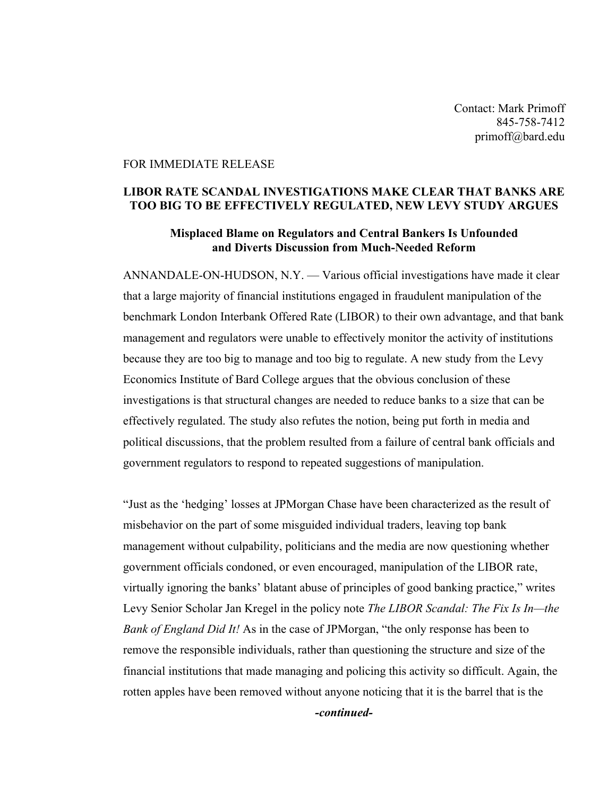Contact: Mark Primoff 845-758-7412 primoff@bard.edu

## FOR IMMEDIATE RELEASE

## **LIBOR RATE SCANDAL INVESTIGATIONS MAKE CLEAR THAT BANKS ARE TOO BIG TO BE EFFECTIVELY REGULATED, NEW LEVY STUDY ARGUES**

## **Misplaced Blame on Regulators and Central Bankers Is Unfounded and Diverts Discussion from Much-Needed Reform**

ANNANDALE-ON-HUDSON, N.Y. — Various official investigations have made it clear that a large majority of financial institutions engaged in fraudulent manipulation of the benchmark London Interbank Offered Rate (LIBOR) to their own advantage, and that bank management and regulators were unable to effectively monitor the activity of institutions because they are too big to manage and too big to regulate. A new study from the Levy Economics Institute of Bard College argues that the obvious conclusion of these investigations is that structural changes are needed to reduce banks to a size that can be effectively regulated. The study also refutes the notion, being put forth in media and political discussions, that the problem resulted from a failure of central bank officials and government regulators to respond to repeated suggestions of manipulation.

"Just as the 'hedging' losses at JPMorgan Chase have been characterized as the result of misbehavior on the part of some misguided individual traders, leaving top bank management without culpability, politicians and the media are now questioning whether government officials condoned, or even encouraged, manipulation of the LIBOR rate, virtually ignoring the banks' blatant abuse of principles of good banking practice," writes Levy Senior Scholar Jan Kregel in the policy note *The LIBOR Scandal: The Fix Is In—the Bank of England Did It!* As in the case of JPMorgan, "the only response has been to remove the responsible individuals, rather than questioning the structure and size of the financial institutions that made managing and policing this activity so difficult. Again, the rotten apples have been removed without anyone noticing that it is the barrel that is the

*-continued-*